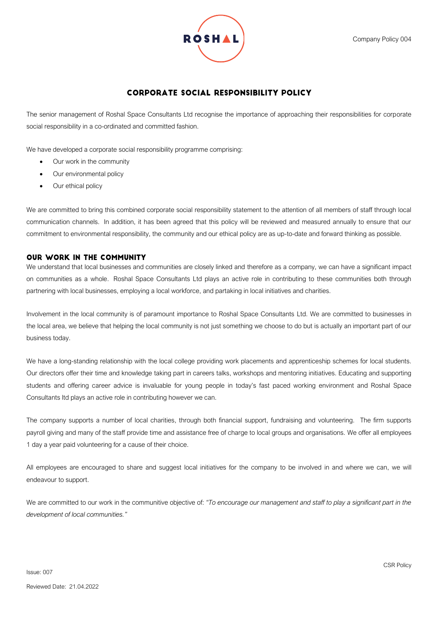

# **CORPORATE SOCIAL RESPONSIBILITY POLICY**

The senior management of Roshal Space Consultants Ltd recognise the importance of approaching their responsibilities for corporate social responsibility in a co-ordinated and committed fashion.

We have developed a corporate social responsibility programme comprising:

- Our work in the community
- Our environmental policy
- Our ethical policy

We are committed to bring this combined corporate social responsibility statement to the attention of all members of staff through local communication channels. In addition, it has been agreed that this policy will be reviewed and measured annually to ensure that our commitment to environmental responsibility, the community and our ethical policy are as up-to-date and forward thinking as possible.

# **OUR WORK IN THE COMMUNITY**

We understand that local businesses and communities are closely linked and therefore as a company, we can have a significant impact on communities as a whole. Roshal Space Consultants Ltd plays an active role in contributing to these communities both through partnering with local businesses, employing a local workforce, and partaking in local initiatives and charities.

Involvement in the local community is of paramount importance to Roshal Space Consultants Ltd. We are committed to businesses in the local area, we believe that helping the local community is not just something we choose to do but is actually an important part of our business today.

We have a long-standing relationship with the local college providing work placements and apprenticeship schemes for local students. Our directors offer their time and knowledge taking part in careers talks, workshops and mentoring initiatives. Educating and supporting students and offering career advice is invaluable for young people in today's fast paced working environment and Roshal Space Consultants ltd plays an active role in contributing however we can.

The company supports a number of local charities, through both financial support, fundraising and volunteering. The firm supports payroll giving and many of the staff provide time and assistance free of charge to local groups and organisations. We offer all employees 1 day a year paid volunteering for a cause of their choice.

All employees are encouraged to share and suggest local initiatives for the company to be involved in and where we can, we will endeavour to support.

We are committed to our work in the communitive objective of: *"To encourage our management and staff to play a significant part in the development of local communities."*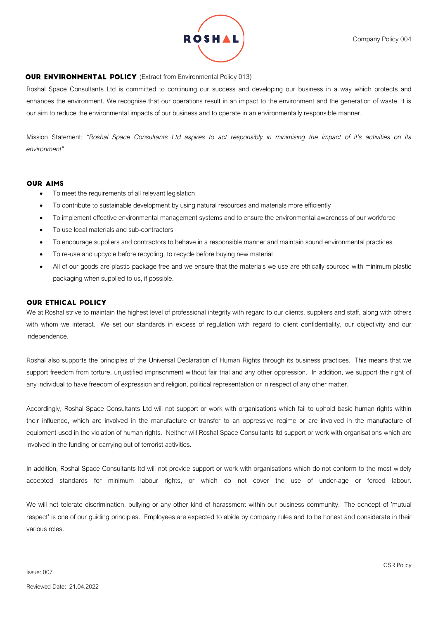

### **OUR ENVIRONMENTAL POLICY** (Extract from Environmental Policy 013)

Roshal Space Consultants Ltd is committed to continuing our success and developing our business in a way which protects and enhances the environment. We recognise that our operations result in an impact to the environment and the generation of waste. It is our aim to reduce the environmental impacts of our business and to operate in an environmentally responsible manner.

Mission Statement: *"Roshal Space Consultants Ltd aspires to act responsibly in minimising the impact of it's activities on its environment".*

#### **OUR AIMS**

- To meet the requirements of all relevant legislation
- To contribute to sustainable development by using natural resources and materials more efficiently
- To implement effective environmental management systems and to ensure the environmental awareness of our workforce
- To use local materials and sub-contractors
- To encourage suppliers and contractors to behave in a responsible manner and maintain sound environmental practices.
- To re-use and upcycle before recycling, to recycle before buying new material
- All of our goods are plastic package free and we ensure that the materials we use are ethically sourced with minimum plastic packaging when supplied to us, if possible.

## **OUR ETHICAL POLICY**

We at Roshal strive to maintain the highest level of professional integrity with regard to our clients, suppliers and staff, along with others with whom we interact. We set our standards in excess of regulation with regard to client confidentiality, our objectivity and our independence.

Roshal also supports the principles of the Universal Declaration of Human Rights through its business practices. This means that we support freedom from torture, unjustified imprisonment without fair trial and any other oppression. In addition, we support the right of any individual to have freedom of expression and religion, political representation or in respect of any other matter.

Accordingly, Roshal Space Consultants Ltd will not support or work with organisations which fail to uphold basic human rights within their influence, which are involved in the manufacture or transfer to an oppressive regime or are involved in the manufacture of equipment used in the violation of human rights. Neither will Roshal Space Consultants ltd support or work with organisations which are involved in the funding or carrying out of terrorist activities.

In addition, Roshal Space Consultants ltd will not provide support or work with organisations which do not conform to the most widely accepted standards for minimum labour rights, or which do not cover the use of under-age or forced labour.

We will not tolerate discrimination, bullying or any other kind of harassment within our business community. The concept of 'mutual respect' is one of our guiding principles. Employees are expected to abide by company rules and to be honest and considerate in their various roles.